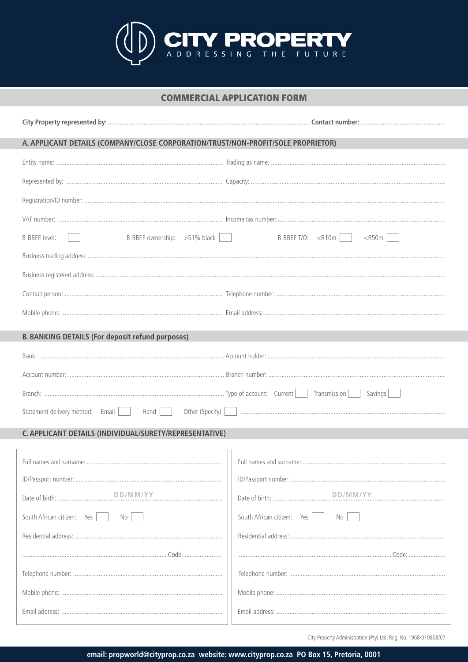

## **COMMERCIAL APPLICATION FORM**

| A. APPLICANT DETAILS (COMPANY/CLOSE CORPORATION/TRUST/NON-PROFIT/SOLE PROPRIETOR) |                                    |  |  |
|-----------------------------------------------------------------------------------|------------------------------------|--|--|
|                                                                                   |                                    |  |  |
|                                                                                   |                                    |  |  |
|                                                                                   |                                    |  |  |
|                                                                                   |                                    |  |  |
| B-BBEE ownership: >51% black<br>B-BBEE level:                                     | B-BBEE T/O: $\lt R10m$<br>$<$ R50m |  |  |
|                                                                                   |                                    |  |  |
|                                                                                   |                                    |  |  |
|                                                                                   |                                    |  |  |
|                                                                                   |                                    |  |  |
| <b>B. BANKING DETAILS (For deposit refund purposes)</b>                           |                                    |  |  |
|                                                                                   |                                    |  |  |
|                                                                                   |                                    |  |  |
| Savings                                                                           |                                    |  |  |
|                                                                                   |                                    |  |  |
| C. APPLICANT DETAILS (INDIVIDUAL/SURETY/REPRESENTATIVE)                           |                                    |  |  |
|                                                                                   |                                    |  |  |
|                                                                                   |                                    |  |  |
|                                                                                   |                                    |  |  |
| DD/MM/YY                                                                          | DD/MM/YY                           |  |  |
| South African citizen: Yes<br>No                                                  | South African citizen: Yes<br>No   |  |  |
|                                                                                   |                                    |  |  |
|                                                                                   |                                    |  |  |
|                                                                                   |                                    |  |  |
|                                                                                   |                                    |  |  |
|                                                                                   |                                    |  |  |
|                                                                                   |                                    |  |  |